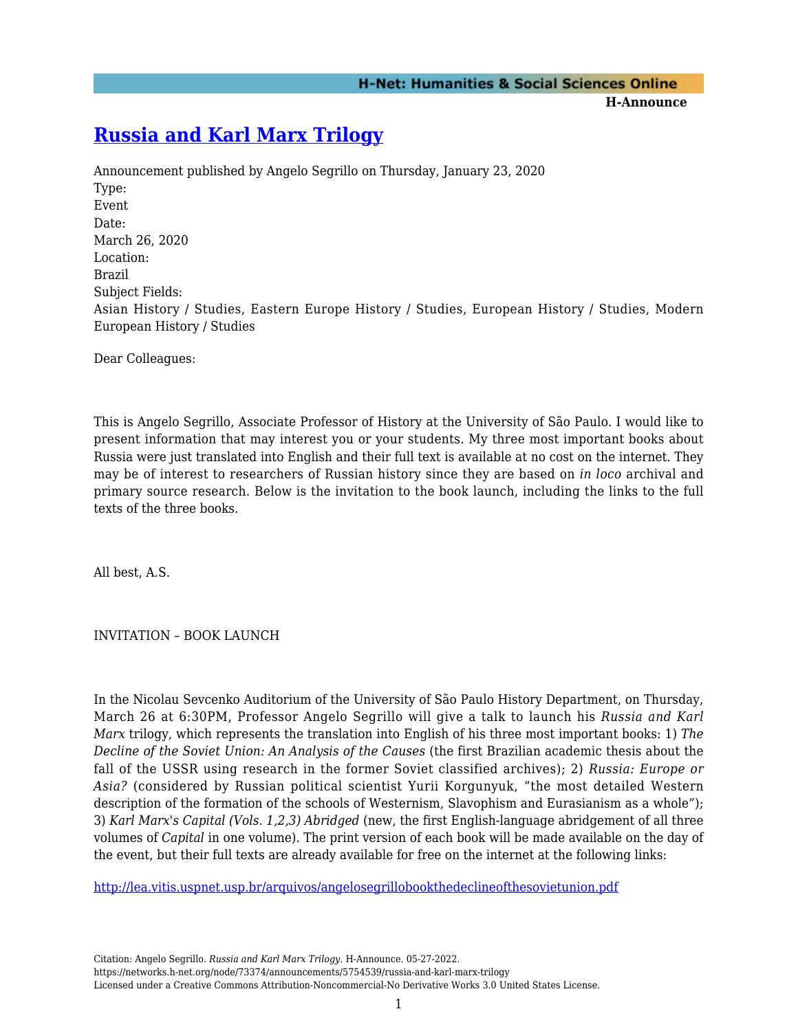## **[Russia and Karl Marx Trilogy](https://networks.h-net.org/node/73374/announcements/5754539/russia-and-karl-marx-trilogy)**

Announcement published by Angelo Segrillo on Thursday, January 23, 2020 Type: Event Date: March 26, 2020 Location: Brazil Subject Fields: Asian History / Studies, Eastern Europe History / Studies, European History / Studies, Modern European History / Studies

Dear Colleagues:

This is Angelo Segrillo, Associate Professor of History at the University of São Paulo. I would like to present information that may interest you or your students. My three most important books about Russia were just translated into English and their full text is available at no cost on the internet. They may be of interest to researchers of Russian history since they are based on *in loco* archival and primary source research. Below is the invitation to the book launch, including the links to the full texts of the three books.

All best, A.S.

INVITATION – BOOK LAUNCH

In the Nicolau Sevcenko Auditorium of the University of São Paulo History Department, on Thursday, March 26 at 6:30PM, Professor Angelo Segrillo will give a talk to launch his *Russia and Karl Marx* trilogy, which represents the translation into English of his three most important books: 1) *The Decline of the Soviet Union: An Analysis of the Causes* (the first Brazilian academic thesis about the fall of the USSR using research in the former Soviet classified archives); 2) *Russia: Europe or Asia?* (considered by Russian political scientist Yurii Korgunyuk, "the most detailed Western description of the formation of the schools of Westernism, Slavophism and Eurasianism as a whole"); 3) *Karl Marx's Capital (Vols. 1,2,3) Abridged* (new, the first English-language abridgement of all three volumes of *Capital* in one volume). The print version of each book will be made available on the day of the event, but their full texts are already available for free on the internet at the following links:

<http://lea.vitis.uspnet.usp.br/arquivos/angelosegrillobookthedeclineofthesovietunion.pdf>

Citation: Angelo Segrillo. *Russia and Karl Marx Trilogy*. H-Announce. 05-27-2022. https://networks.h-net.org/node/73374/announcements/5754539/russia-and-karl-marx-trilogy Licensed under a Creative Commons Attribution-Noncommercial-No Derivative Works 3.0 United States License.